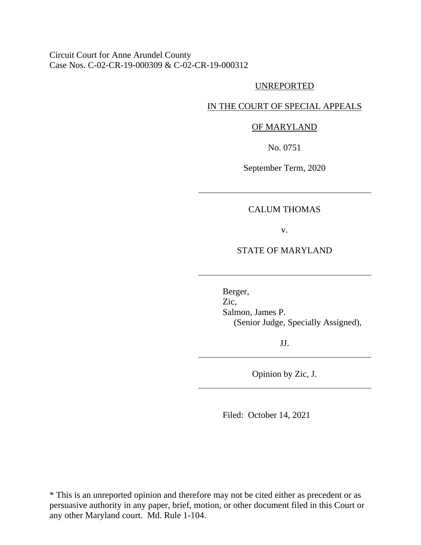Circuit Court for Anne Arundel County Case Nos. C-02-CR-19-000309 & C-02-CR-19-000312

#### UNREPORTED

## IN THE COURT OF SPECIAL APPEALS

#### OF MARYLAND

No. 0751

September Term, 2020

## CALUM THOMAS

v.

## STATE OF MARYLAND

Berger, Zic, Salmon, James P. (Senior Judge, Specially Assigned),

JJ.

Opinion by Zic, J.

Filed: October 14, 2021

\* This is an unreported opinion and therefore may not be cited either as precedent or as persuasive authority in any paper, brief, motion, or other document filed in this Court or any other Maryland court. Md. Rule 1-104.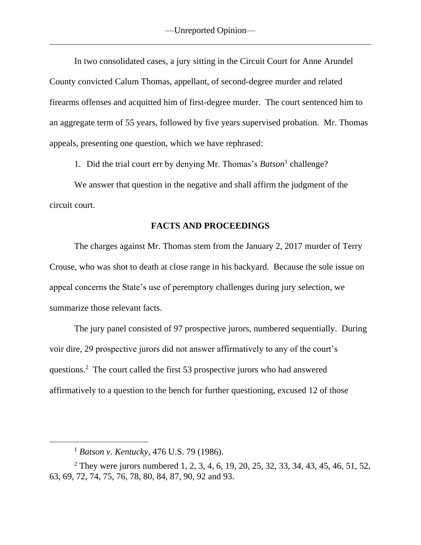In two consolidated cases, a jury sitting in the Circuit Court for Anne Arundel County convicted Calum Thomas, appellant, of second-degree murder and related firearms offenses and acquitted him of first-degree murder. The court sentenced him to an aggregate term of 55 years, followed by five years supervised probation. Mr. Thomas appeals, presenting one question, which we have rephrased:

1. Did the trial court err by denying Mr. Thomas's *Batson*<sup>1</sup> challenge?

We answer that question in the negative and shall affirm the judgment of the circuit court.

### **FACTS AND PROCEEDINGS**

The charges against Mr. Thomas stem from the January 2, 2017 murder of Terry Crouse, who was shot to death at close range in his backyard. Because the sole issue on appeal concerns the State's use of peremptory challenges during jury selection, we summarize those relevant facts.

The jury panel consisted of 97 prospective jurors, numbered sequentially. During voir dire, 29 prospective jurors did not answer affirmatively to any of the court's questions. <sup>2</sup> The court called the first 53 prospective jurors who had answered affirmatively to a question to the bench for further questioning, excused 12 of those

<sup>1</sup> *Batson v. Kentucky*, 476 U.S. 79 (1986).

<sup>&</sup>lt;sup>2</sup> They were jurors numbered 1, 2, 3, 4, 6, 19, 20, 25, 32, 33, 34, 43, 45, 46, 51, 52, 63, 69, 72, 74, 75, 76, 78, 80, 84, 87, 90, 92 and 93.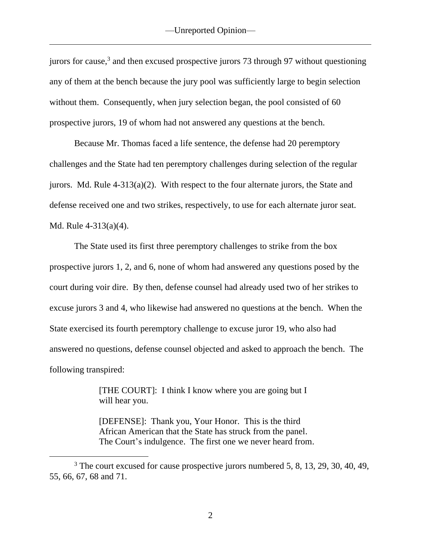jurors for cause,<sup>3</sup> and then excused prospective jurors 73 through 97 without questioning any of them at the bench because the jury pool was sufficiently large to begin selection without them. Consequently, when jury selection began, the pool consisted of 60 prospective jurors, 19 of whom had not answered any questions at the bench.

Because Mr. Thomas faced a life sentence, the defense had 20 peremptory challenges and the State had ten peremptory challenges during selection of the regular jurors. Md. Rule 4-313(a)(2). With respect to the four alternate jurors, the State and defense received one and two strikes, respectively, to use for each alternate juror seat. Md. Rule 4-313(a)(4).

The State used its first three peremptory challenges to strike from the box prospective jurors 1, 2, and 6, none of whom had answered any questions posed by the court during voir dire. By then, defense counsel had already used two of her strikes to excuse jurors 3 and 4, who likewise had answered no questions at the bench. When the State exercised its fourth peremptory challenge to excuse juror 19, who also had answered no questions, defense counsel objected and asked to approach the bench. The following transpired:

> [THE COURT]: I think I know where you are going but I will hear you.

[DEFENSE]: Thank you, Your Honor. This is the third African American that the State has struck from the panel. The Court's indulgence. The first one we never heard from.

<sup>&</sup>lt;sup>3</sup> The court excused for cause prospective jurors numbered 5, 8, 13, 29, 30, 40, 49, 55, 66, 67, 68 and 71.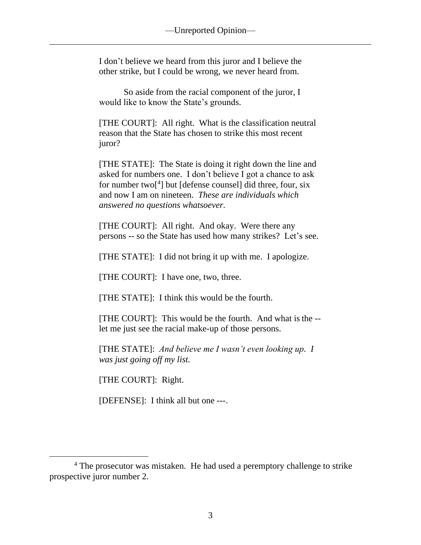I don't believe we heard from this juror and I believe the other strike, but I could be wrong, we never heard from.

So aside from the racial component of the juror, I would like to know the State's grounds.

[THE COURT]: All right. What is the classification neutral reason that the State has chosen to strike this most recent juror?

[THE STATE]: The State is doing it right down the line and asked for numbers one. I don't believe I got a chance to ask for number two<sup>[4]</sup> but [defense counsel] did three, four, six and now I am on nineteen. *These are individuals which answered no questions whatsoever.*

[THE COURT]: All right. And okay. Were there any persons -- so the State has used how many strikes? Let's see.

[THE STATE]: I did not bring it up with me. I apologize.

[THE COURT]: I have one, two, three.

[THE STATE]: I think this would be the fourth.

[THE COURT]: This would be the fourth. And what is the - let me just see the racial make-up of those persons.

[THE STATE]: *And believe me I wasn't even looking up. I was just going off my list.*

[THE COURT]: Right.

[DEFENSE]: I think all but one ---.

<sup>&</sup>lt;sup>4</sup> The prosecutor was mistaken. He had used a peremptory challenge to strike prospective juror number 2.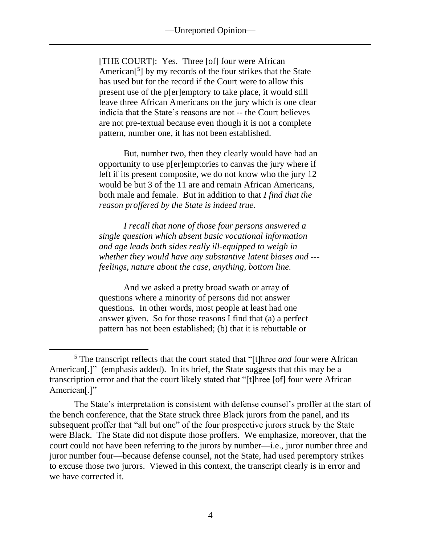[THE COURT]: Yes. Three [of] four were African American<sup>[5</sup>] by my records of the four strikes that the State has used but for the record if the Court were to allow this present use of the p[er]emptory to take place, it would still leave three African Americans on the jury which is one clear indicia that the State's reasons are not -- the Court believes are not pre-textual because even though it is not a complete pattern, number one, it has not been established.

But, number two, then they clearly would have had an opportunity to use p[er]emptories to canvas the jury where if left if its present composite, we do not know who the jury 12 would be but 3 of the 11 are and remain African Americans, both male and female. But in addition to that *I find that the reason proffered by the State is indeed true.*

*I recall that none of those four persons answered a single question which absent basic vocational information and age leads both sides really ill-equipped to weigh in whether they would have any substantive latent biases and -- feelings, nature about the case, anything, bottom line.*

And we asked a pretty broad swath or array of questions where a minority of persons did not answer questions. In other words, most people at least had one answer given. So for those reasons I find that (a) a perfect pattern has not been established; (b) that it is rebuttable or

<sup>5</sup> The transcript reflects that the court stated that "[t]hree *and* four were African American<sup>[1]</sup>" (emphasis added). In its brief, the State suggests that this may be a transcription error and that the court likely stated that "[t]hree [of] four were African American<sup>[.]"</sup>

The State's interpretation is consistent with defense counsel's proffer at the start of the bench conference, that the State struck three Black jurors from the panel, and its subsequent proffer that "all but one" of the four prospective jurors struck by the State were Black. The State did not dispute those proffers. We emphasize, moreover, that the court could not have been referring to the jurors by number—i.e., juror number three and juror number four—because defense counsel, not the State, had used peremptory strikes to excuse those two jurors. Viewed in this context, the transcript clearly is in error and we have corrected it.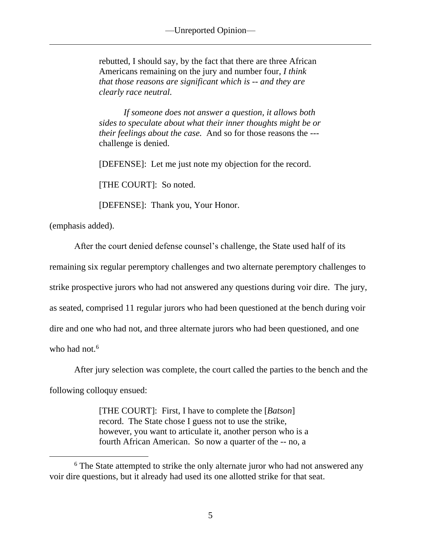rebutted, I should say, by the fact that there are three African Americans remaining on the jury and number four, *I think that those reasons are significant which is -- and they are clearly race neutral.*

*If someone does not answer a question, it allows both sides to speculate about what their inner thoughts might be or their feelings about the case.* And so for those reasons the -- challenge is denied.

[DEFENSE]: Let me just note my objection for the record.

[THE COURT]: So noted.

[DEFENSE]: Thank you, Your Honor.

(emphasis added).

After the court denied defense counsel's challenge, the State used half of its remaining six regular peremptory challenges and two alternate peremptory challenges to strike prospective jurors who had not answered any questions during voir dire. The jury, as seated, comprised 11 regular jurors who had been questioned at the bench during voir dire and one who had not, and three alternate jurors who had been questioned, and one who had not. $6$ 

After jury selection was complete, the court called the parties to the bench and the following colloquy ensued:

> [THE COURT]: First, I have to complete the [*Batson*] record. The State chose I guess not to use the strike, however, you want to articulate it, another person who is a fourth African American. So now a quarter of the -- no, a

<sup>&</sup>lt;sup>6</sup> The State attempted to strike the only alternate juror who had not answered any voir dire questions, but it already had used its one allotted strike for that seat.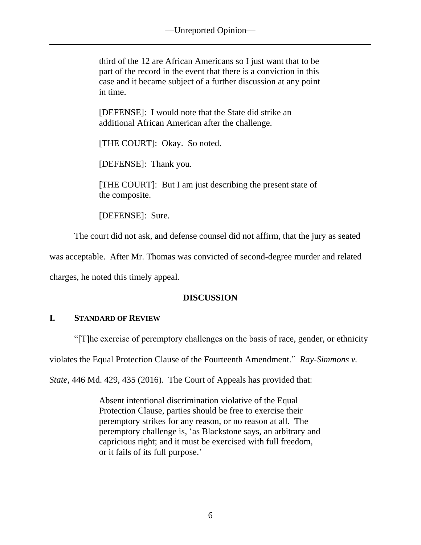third of the 12 are African Americans so I just want that to be part of the record in the event that there is a conviction in this case and it became subject of a further discussion at any point in time.

[DEFENSE]: I would note that the State did strike an additional African American after the challenge.

[THE COURT]: Okay. So noted.

[DEFENSE]: Thank you.

[THE COURT]: But I am just describing the present state of the composite.

[DEFENSE]: Sure.

The court did not ask, and defense counsel did not affirm, that the jury as seated

was acceptable. After Mr. Thomas was convicted of second-degree murder and related

charges, he noted this timely appeal.

# **DISCUSSION**

# **I. STANDARD OF REVIEW**

"[T]he exercise of peremptory challenges on the basis of race, gender, or ethnicity

violates the Equal Protection Clause of the Fourteenth Amendment." *Ray-Simmons v.* 

*State*, 446 Md. 429, 435 (2016). The Court of Appeals has provided that:

Absent intentional discrimination violative of the Equal Protection Clause, parties should be free to exercise their peremptory strikes for any reason, or no reason at all. The peremptory challenge is, 'as Blackstone says, an arbitrary and capricious right; and it must be exercised with full freedom, or it fails of its full purpose.'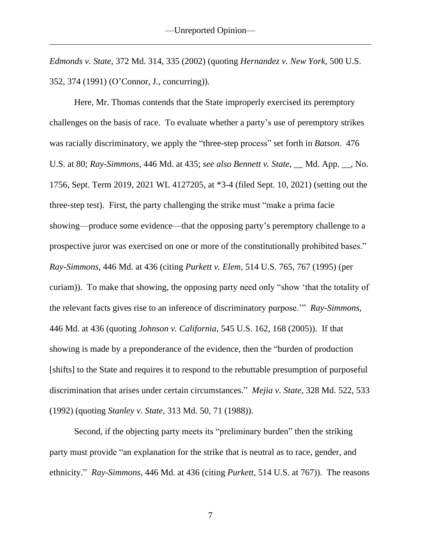*Edmonds v. State*, 372 Md. 314, 335 (2002) (quoting *Hernandez v. New York*, 500 U.S. 352, 374 (1991) (O'Connor, J., concurring)).

Here, Mr. Thomas contends that the State improperly exercised its peremptory challenges on the basis of race. To evaluate whether a party's use of peremptory strikes was racially discriminatory, we apply the "three-step process" set forth in *Batson*. 476 U.S. at 80; *Ray-Simmons*, 446 Md. at 435; *see also Bennett v. State*, \_\_ Md. App. \_\_, No. 1756, Sept. Term 2019, 2021 WL 4127205, at \*3-4 (filed Sept. 10, 2021) (setting out the three-step test). First, the party challenging the strike must "make a prima facie showing—produce some evidence—that the opposing party's peremptory challenge to a prospective juror was exercised on one or more of the constitutionally prohibited bases." *Ray-Simmons*, 446 Md. at 436 (citing *Purkett v. Elem*, 514 U.S. 765, 767 (1995) (per curiam)). To make that showing, the opposing party need only "show 'that the totality of the relevant facts gives rise to an inference of discriminatory purpose.'" *Ray-Simmons*, 446 Md. at 436 (quoting *Johnson v. California*, 545 U.S. 162, 168 (2005)). If that showing is made by a preponderance of the evidence, then the "burden of production [shifts] to the State and requires it to respond to the rebuttable presumption of purposeful discrimination that arises under certain circumstances." *Mejia v. State*, 328 Md. 522, 533 (1992) (quoting *Stanley v. State*, 313 Md. 50, 71 (1988)).

Second, if the objecting party meets its "preliminary burden" then the striking party must provide "an explanation for the strike that is neutral as to race, gender, and ethnicity." *Ray-Simmons*, 446 Md. at 436 (citing *Purkett*, 514 U.S. at 767)). The reasons

7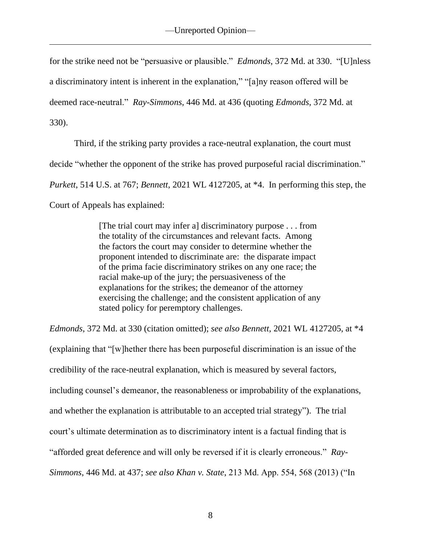for the strike need not be "persuasive or plausible." *Edmonds*, 372 Md. at 330. "[U]nless a discriminatory intent is inherent in the explanation," "[a]ny reason offered will be deemed race-neutral." *Ray-Simmons*, 446 Md. at 436 (quoting *Edmonds*, 372 Md. at 330).

Third, if the striking party provides a race-neutral explanation, the court must decide "whether the opponent of the strike has proved purposeful racial discrimination." *Purkett*, 514 U.S. at 767; *Bennett*, 2021 WL 4127205, at \*4. In performing this step, the Court of Appeals has explained:

> [The trial court may infer a] discriminatory purpose . . . from the totality of the circumstances and relevant facts. Among the factors the court may consider to determine whether the proponent intended to discriminate are: the disparate impact of the prima facie discriminatory strikes on any one race; the racial make-up of the jury; the persuasiveness of the explanations for the strikes; the demeanor of the attorney exercising the challenge; and the consistent application of any stated policy for peremptory challenges.

*Edmonds*, 372 Md. at 330 (citation omitted); *see also Bennett*, 2021 WL 4127205, at \*4 (explaining that "[w]hether there has been purposeful discrimination is an issue of the credibility of the race-neutral explanation, which is measured by several factors, including counsel's demeanor, the reasonableness or improbability of the explanations, and whether the explanation is attributable to an accepted trial strategy"). The trial court's ultimate determination as to discriminatory intent is a factual finding that is "afforded great deference and will only be reversed if it is clearly erroneous." *Ray-Simmons*, 446 Md. at 437; *see also Khan v. State*, 213 Md. App. 554, 568 (2013) ("In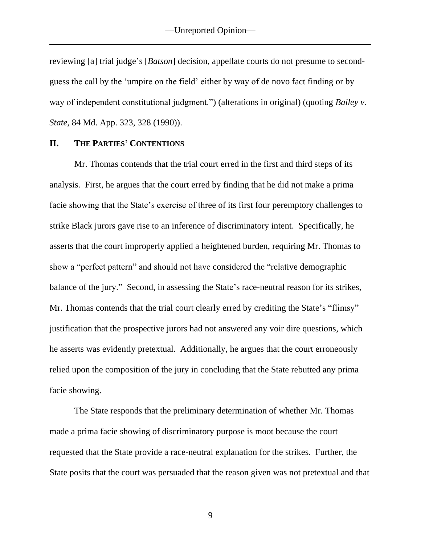reviewing [a] trial judge's [*Batson*] decision, appellate courts do not presume to secondguess the call by the 'umpire on the field' either by way of de novo fact finding or by way of independent constitutional judgment.") (alterations in original) (quoting *Bailey v. State*, 84 Md. App. 323, 328 (1990)).

#### **II. THE PARTIES' CONTENTIONS**

Mr. Thomas contends that the trial court erred in the first and third steps of its analysis. First, he argues that the court erred by finding that he did not make a prima facie showing that the State's exercise of three of its first four peremptory challenges to strike Black jurors gave rise to an inference of discriminatory intent. Specifically, he asserts that the court improperly applied a heightened burden, requiring Mr. Thomas to show a "perfect pattern" and should not have considered the "relative demographic balance of the jury." Second, in assessing the State's race-neutral reason for its strikes, Mr. Thomas contends that the trial court clearly erred by crediting the State's "flimsy" justification that the prospective jurors had not answered any voir dire questions, which he asserts was evidently pretextual. Additionally, he argues that the court erroneously relied upon the composition of the jury in concluding that the State rebutted any prima facie showing.

The State responds that the preliminary determination of whether Mr. Thomas made a prima facie showing of discriminatory purpose is moot because the court requested that the State provide a race-neutral explanation for the strikes. Further, the State posits that the court was persuaded that the reason given was not pretextual and that

9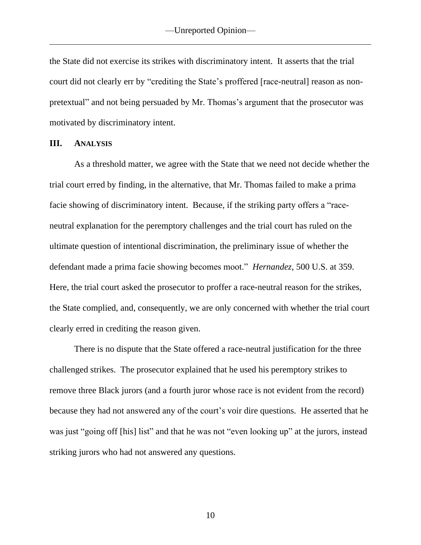the State did not exercise its strikes with discriminatory intent. It asserts that the trial court did not clearly err by "crediting the State's proffered [race-neutral] reason as nonpretextual" and not being persuaded by Mr. Thomas's argument that the prosecutor was motivated by discriminatory intent.

#### **III. ANALYSIS**

As a threshold matter, we agree with the State that we need not decide whether the trial court erred by finding, in the alternative, that Mr. Thomas failed to make a prima facie showing of discriminatory intent. Because, if the striking party offers a "raceneutral explanation for the peremptory challenges and the trial court has ruled on the ultimate question of intentional discrimination, the preliminary issue of whether the defendant made a prima facie showing becomes moot." *Hernandez*, 500 U.S. at 359. Here, the trial court asked the prosecutor to proffer a race-neutral reason for the strikes, the State complied, and, consequently, we are only concerned with whether the trial court clearly erred in crediting the reason given.

There is no dispute that the State offered a race-neutral justification for the three challenged strikes. The prosecutor explained that he used his peremptory strikes to remove three Black jurors (and a fourth juror whose race is not evident from the record) because they had not answered any of the court's voir dire questions. He asserted that he was just "going off [his] list" and that he was not "even looking up" at the jurors, instead striking jurors who had not answered any questions.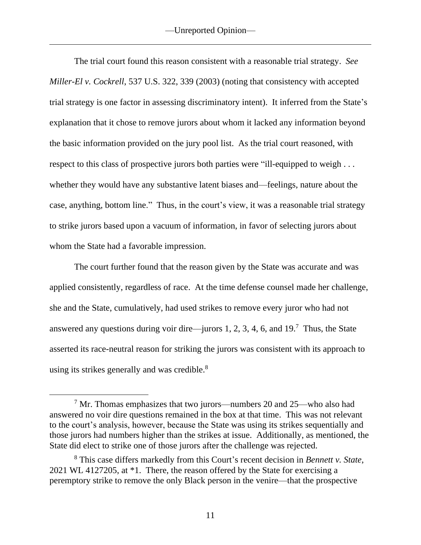The trial court found this reason consistent with a reasonable trial strategy. *See Miller-El v. Cockrell*, 537 U.S. 322, 339 (2003) (noting that consistency with accepted trial strategy is one factor in assessing discriminatory intent). It inferred from the State's explanation that it chose to remove jurors about whom it lacked any information beyond the basic information provided on the jury pool list. As the trial court reasoned, with respect to this class of prospective jurors both parties were "ill-equipped to weigh . . . whether they would have any substantive latent biases and—feelings, nature about the case, anything, bottom line." Thus, in the court's view, it was a reasonable trial strategy to strike jurors based upon a vacuum of information, in favor of selecting jurors about whom the State had a favorable impression.

The court further found that the reason given by the State was accurate and was applied consistently, regardless of race. At the time defense counsel made her challenge, she and the State, cumulatively, had used strikes to remove every juror who had not answered any questions during voir dire—jurors 1, 2, 3, 4, 6, and  $19<sup>7</sup>$  Thus, the State asserted its race-neutral reason for striking the jurors was consistent with its approach to using its strikes generally and was credible.<sup>8</sup>

 $7$  Mr. Thomas emphasizes that two jurors—numbers 20 and 25—who also had answered no voir dire questions remained in the box at that time. This was not relevant to the court's analysis, however, because the State was using its strikes sequentially and those jurors had numbers higher than the strikes at issue. Additionally, as mentioned, the State did elect to strike one of those jurors after the challenge was rejected.

<sup>8</sup> This case differs markedly from this Court's recent decision in *Bennett v. State*, 2021 WL 4127205, at \*1. There, the reason offered by the State for exercising a peremptory strike to remove the only Black person in the venire—that the prospective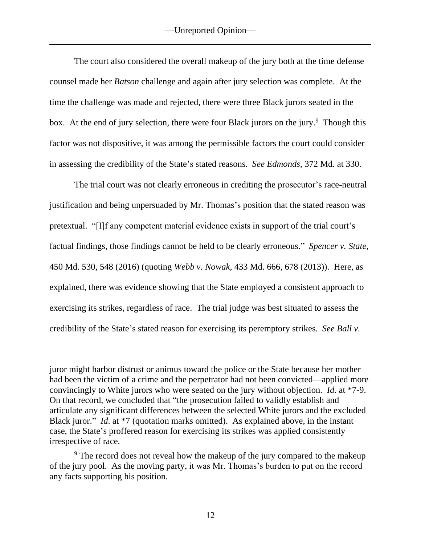The court also considered the overall makeup of the jury both at the time defense counsel made her *Batson* challenge and again after jury selection was complete. At the time the challenge was made and rejected, there were three Black jurors seated in the box. At the end of jury selection, there were four Black jurors on the jury.<sup>9</sup> Though this factor was not dispositive, it was among the permissible factors the court could consider in assessing the credibility of the State's stated reasons. *See Edmonds*, 372 Md. at 330.

The trial court was not clearly erroneous in crediting the prosecutor's race-neutral justification and being unpersuaded by Mr. Thomas's position that the stated reason was pretextual. "[I]f any competent material evidence exists in support of the trial court's factual findings, those findings cannot be held to be clearly erroneous." *Spencer v. State*, 450 Md. 530, 548 (2016) (quoting *Webb v. Nowak*, 433 Md. 666, 678 (2013)). Here, as explained, there was evidence showing that the State employed a consistent approach to exercising its strikes, regardless of race. The trial judge was best situated to assess the credibility of the State's stated reason for exercising its peremptory strikes. *See Ball v.* 

juror might harbor distrust or animus toward the police or the State because her mother had been the victim of a crime and the perpetrator had not been convicted—applied more convincingly to White jurors who were seated on the jury without objection. *Id*. at \*7-9. On that record, we concluded that "the prosecution failed to validly establish and articulate any significant differences between the selected White jurors and the excluded Black juror." *Id.* at \*7 (quotation marks omitted). As explained above, in the instant case, the State's proffered reason for exercising its strikes was applied consistently irrespective of race.

<sup>&</sup>lt;sup>9</sup> The record does not reveal how the makeup of the jury compared to the makeup of the jury pool. As the moving party, it was Mr. Thomas's burden to put on the record any facts supporting his position.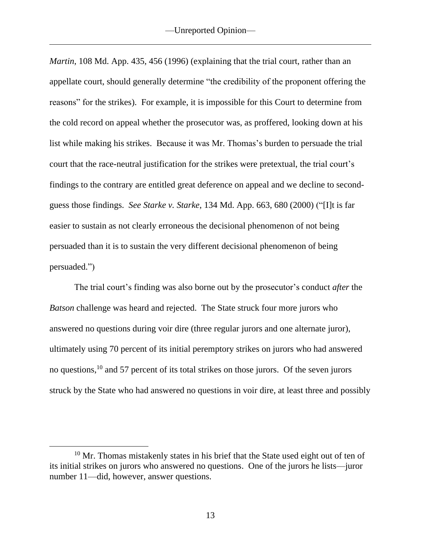*Martin*, 108 Md. App. 435, 456 (1996) (explaining that the trial court, rather than an appellate court, should generally determine "the credibility of the proponent offering the reasons" for the strikes). For example, it is impossible for this Court to determine from the cold record on appeal whether the prosecutor was, as proffered, looking down at his list while making his strikes. Because it was Mr. Thomas's burden to persuade the trial court that the race-neutral justification for the strikes were pretextual, the trial court's findings to the contrary are entitled great deference on appeal and we decline to secondguess those findings. *See Starke v. Starke*, 134 Md. App. 663, 680 (2000) ("[I]t is far easier to sustain as not clearly erroneous the decisional phenomenon of not being persuaded than it is to sustain the very different decisional phenomenon of being persuaded.")

The trial court's finding was also borne out by the prosecutor's conduct *after* the *Batson* challenge was heard and rejected. The State struck four more jurors who answered no questions during voir dire (three regular jurors and one alternate juror), ultimately using 70 percent of its initial peremptory strikes on jurors who had answered no questions, <sup>10</sup> and 57 percent of its total strikes on those jurors. Of the seven jurors struck by the State who had answered no questions in voir dire, at least three and possibly

<sup>&</sup>lt;sup>10</sup> Mr. Thomas mistakenly states in his brief that the State used eight out of ten of its initial strikes on jurors who answered no questions. One of the jurors he lists—juror number 11—did, however, answer questions.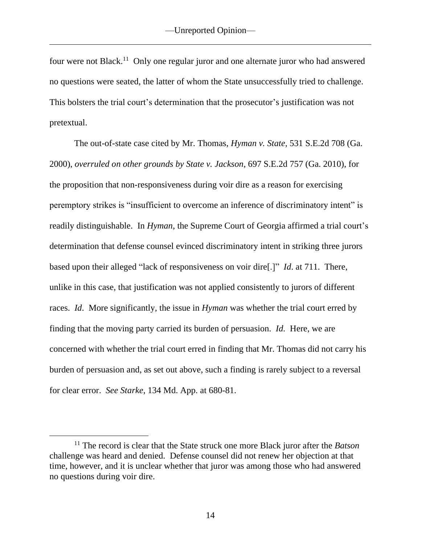four were not Black.<sup>11</sup> Only one regular juror and one alternate juror who had answered no questions were seated, the latter of whom the State unsuccessfully tried to challenge. This bolsters the trial court's determination that the prosecutor's justification was not pretextual.

The out-of-state case cited by Mr. Thomas, *Hyman v. State*, 531 S.E.2d 708 (Ga. 2000), *overruled on other grounds by State v. Jackson*, 697 S.E.2d 757 (Ga. 2010), for the proposition that non-responsiveness during voir dire as a reason for exercising peremptory strikes is "insufficient to overcome an inference of discriminatory intent" is readily distinguishable. In *Hyman*, the Supreme Court of Georgia affirmed a trial court's determination that defense counsel evinced discriminatory intent in striking three jurors based upon their alleged "lack of responsiveness on voir dire[.]" *Id*. at 711. There, unlike in this case, that justification was not applied consistently to jurors of different races. *Id*. More significantly, the issue in *Hyman* was whether the trial court erred by finding that the moving party carried its burden of persuasion. *Id.* Here, we are concerned with whether the trial court erred in finding that Mr. Thomas did not carry his burden of persuasion and, as set out above, such a finding is rarely subject to a reversal for clear error. *See Starke*, 134 Md. App. at 680-81.

<sup>11</sup> The record is clear that the State struck one more Black juror after the *Batson* challenge was heard and denied. Defense counsel did not renew her objection at that time, however, and it is unclear whether that juror was among those who had answered no questions during voir dire.